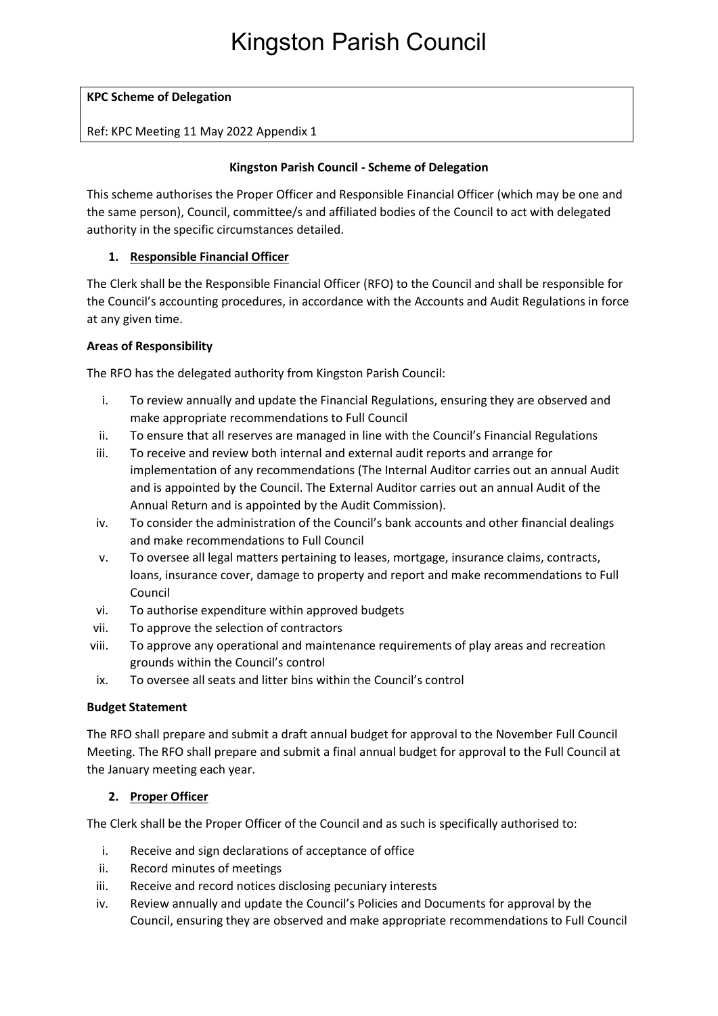### **KPC Scheme of Delegation**

#### Ref: KPC Meeting 11 May 2022 Appendix 1

#### **Kingston Parish Council - Scheme of Delegation**

This scheme authorises the Proper Officer and Responsible Financial Officer (which may be one and the same person), Council, committee/s and affiliated bodies of the Council to act with delegated authority in the specific circumstances detailed.

### **1. Responsible Financial Officer**

The Clerk shall be the Responsible Financial Officer (RFO) to the Council and shall be responsible for the Council's accounting procedures, in accordance with the Accounts and Audit Regulations in force at any given time.

#### **Areas of Responsibility**

The RFO has the delegated authority from Kingston Parish Council:

- i. To review annually and update the Financial Regulations, ensuring they are observed and make appropriate recommendations to Full Council
- ii. To ensure that all reserves are managed in line with the Council's Financial Regulations
- iii. To receive and review both internal and external audit reports and arrange for implementation of any recommendations (The Internal Auditor carries out an annual Audit and is appointed by the Council. The External Auditor carries out an annual Audit of the Annual Return and is appointed by the Audit Commission).
- iv. To consider the administration of the Council's bank accounts and other financial dealings and make recommendations to Full Council
- v. To oversee all legal matters pertaining to leases, mortgage, insurance claims, contracts, loans, insurance cover, damage to property and report and make recommendations to Full Council
- vi. To authorise expenditure within approved budgets
- vii. To approve the selection of contractors
- viii. To approve any operational and maintenance requirements of play areas and recreation grounds within the Council's control
- ix. To oversee all seats and litter bins within the Council's control

#### **Budget Statement**

The RFO shall prepare and submit a draft annual budget for approval to the November Full Council Meeting. The RFO shall prepare and submit a final annual budget for approval to the Full Council at the January meeting each year.

#### **2. Proper Officer**

The Clerk shall be the Proper Officer of the Council and as such is specifically authorised to:

- i. Receive and sign declarations of acceptance of office
- ii. Record minutes of meetings
- iii. Receive and record notices disclosing pecuniary interests
- iv. Review annually and update the Council's Policies and Documents for approval by the Council, ensuring they are observed and make appropriate recommendations to Full Council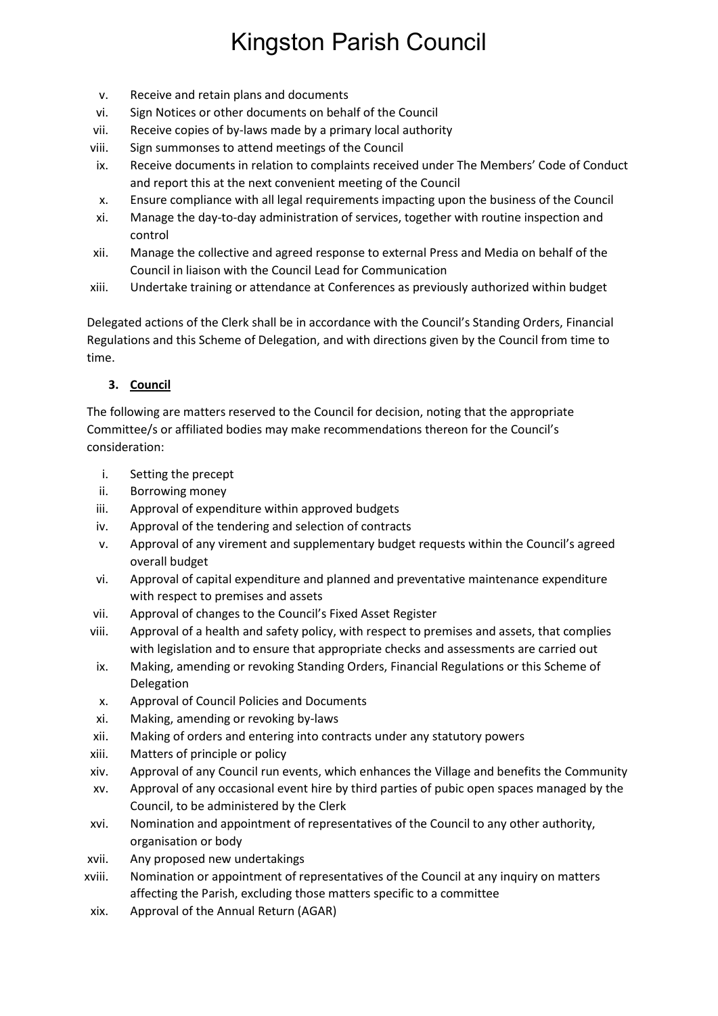- v. Receive and retain plans and documents
- vi. Sign Notices or other documents on behalf of the Council
- vii. Receive copies of by-laws made by a primary local authority
- viii. Sign summonses to attend meetings of the Council
- ix. Receive documents in relation to complaints received under The Members' Code of Conduct and report this at the next convenient meeting of the Council
- x. Ensure compliance with all legal requirements impacting upon the business of the Council
- xi. Manage the day-to-day administration of services, together with routine inspection and control
- xii. Manage the collective and agreed response to external Press and Media on behalf of the Council in liaison with the Council Lead for Communication
- xiii. Undertake training or attendance at Conferences as previously authorized within budget

Delegated actions of the Clerk shall be in accordance with the Council's Standing Orders, Financial Regulations and this Scheme of Delegation, and with directions given by the Council from time to time.

### **3. Council**

The following are matters reserved to the Council for decision, noting that the appropriate Committee/s or affiliated bodies may make recommendations thereon for the Council's consideration:

- i. Setting the precept
- ii. Borrowing money
- iii. Approval of expenditure within approved budgets
- iv. Approval of the tendering and selection of contracts
- v. Approval of any virement and supplementary budget requests within the Council's agreed overall budget
- vi. Approval of capital expenditure and planned and preventative maintenance expenditure with respect to premises and assets
- vii. Approval of changes to the Council's Fixed Asset Register
- viii. Approval of a health and safety policy, with respect to premises and assets, that complies with legislation and to ensure that appropriate checks and assessments are carried out
- ix. Making, amending or revoking Standing Orders, Financial Regulations or this Scheme of Delegation
- x. Approval of Council Policies and Documents
- xi. Making, amending or revoking by-laws
- xii. Making of orders and entering into contracts under any statutory powers
- xiii. Matters of principle or policy
- xiv. Approval of any Council run events, which enhances the Village and benefits the Community
- xv. Approval of any occasional event hire by third parties of pubic open spaces managed by the Council, to be administered by the Clerk
- xvi. Nomination and appointment of representatives of the Council to any other authority, organisation or body
- xvii. Any proposed new undertakings
- xviii. Nomination or appointment of representatives of the Council at any inquiry on matters affecting the Parish, excluding those matters specific to a committee
- xix. Approval of the Annual Return (AGAR)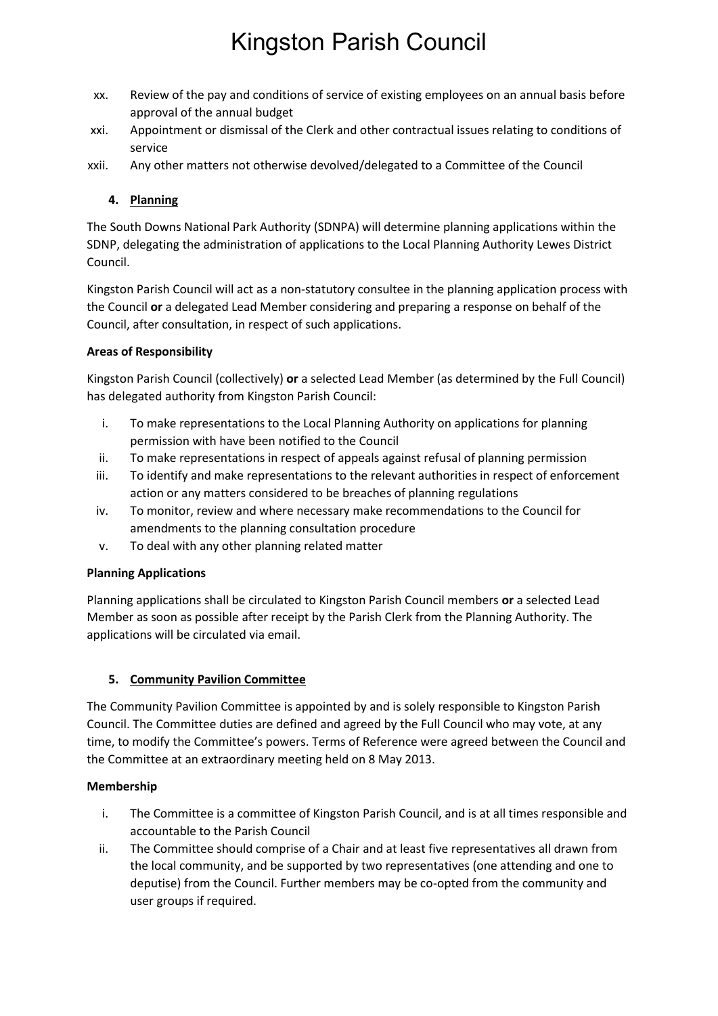- xx. Review of the pay and conditions of service of existing employees on an annual basis before approval of the annual budget
- xxi. Appointment or dismissal of the Clerk and other contractual issues relating to conditions of service
- xxii. Any other matters not otherwise devolved/delegated to a Committee of the Council

### **4. Planning**

The South Downs National Park Authority (SDNPA) will determine planning applications within the SDNP, delegating the administration of applications to the Local Planning Authority Lewes District Council.

Kingston Parish Council will act as a non-statutory consultee in the planning application process with the Council **or** a delegated Lead Member considering and preparing a response on behalf of the Council, after consultation, in respect of such applications.

### **Areas of Responsibility**

Kingston Parish Council (collectively) **or** a selected Lead Member (as determined by the Full Council) has delegated authority from Kingston Parish Council:

- i. To make representations to the Local Planning Authority on applications for planning permission with have been notified to the Council
- ii. To make representations in respect of appeals against refusal of planning permission
- iii. To identify and make representations to the relevant authorities in respect of enforcement action or any matters considered to be breaches of planning regulations
- iv. To monitor, review and where necessary make recommendations to the Council for amendments to the planning consultation procedure
- v. To deal with any other planning related matter

### **Planning Applications**

Planning applications shall be circulated to Kingston Parish Council members **or** a selected Lead Member as soon as possible after receipt by the Parish Clerk from the Planning Authority. The applications will be circulated via email.

### **5. Community Pavilion Committee**

The Community Pavilion Committee is appointed by and is solely responsible to Kingston Parish Council. The Committee duties are defined and agreed by the Full Council who may vote, at any time, to modify the Committee's powers. Terms of Reference were agreed between the Council and the Committee at an extraordinary meeting held on 8 May 2013.

### **Membership**

- i. The Committee is a committee of Kingston Parish Council, and is at all times responsible and accountable to the Parish Council
- ii. The Committee should comprise of a Chair and at least five representatives all drawn from the local community, and be supported by two representatives (one attending and one to deputise) from the Council. Further members may be co-opted from the community and user groups if required.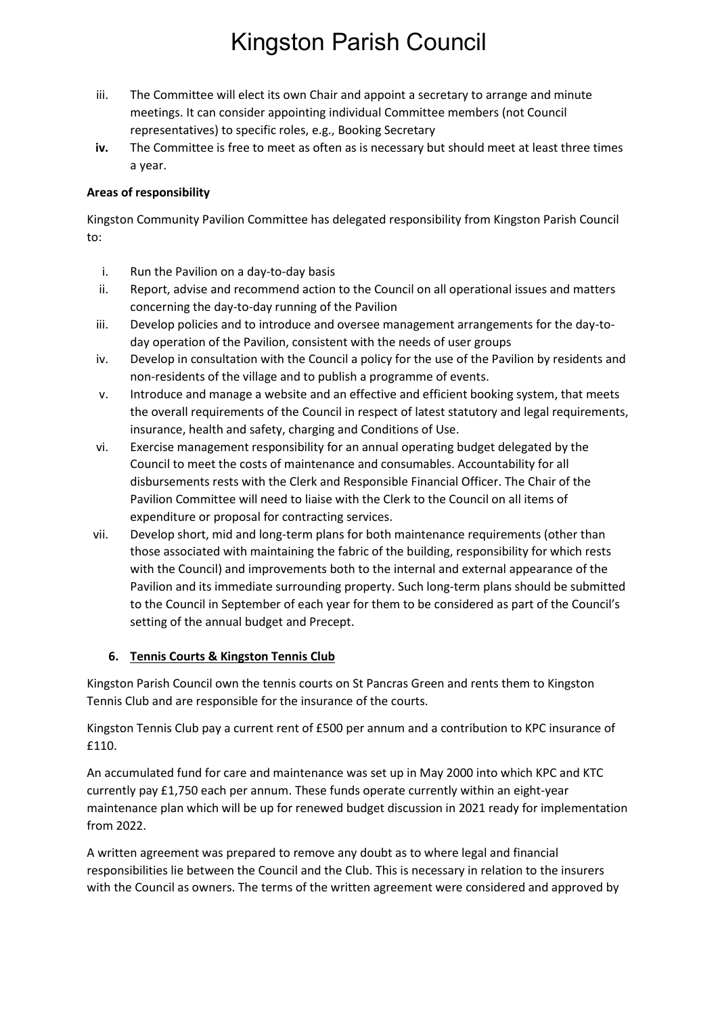- iii. The Committee will elect its own Chair and appoint a secretary to arrange and minute meetings. It can consider appointing individual Committee members (not Council representatives) to specific roles, e.g., Booking Secretary
- **iv.** The Committee is free to meet as often as is necessary but should meet at least three times a year.

### **Areas of responsibility**

Kingston Community Pavilion Committee has delegated responsibility from Kingston Parish Council to:

- i. Run the Pavilion on a day-to-day basis
- ii. Report, advise and recommend action to the Council on all operational issues and matters concerning the day-to-day running of the Pavilion
- iii. Develop policies and to introduce and oversee management arrangements for the day-today operation of the Pavilion, consistent with the needs of user groups
- iv. Develop in consultation with the Council a policy for the use of the Pavilion by residents and non-residents of the village and to publish a programme of events.
- v. Introduce and manage a website and an effective and efficient booking system, that meets the overall requirements of the Council in respect of latest statutory and legal requirements, insurance, health and safety, charging and Conditions of Use.
- vi. Exercise management responsibility for an annual operating budget delegated by the Council to meet the costs of maintenance and consumables. Accountability for all disbursements rests with the Clerk and Responsible Financial Officer. The Chair of the Pavilion Committee will need to liaise with the Clerk to the Council on all items of expenditure or proposal for contracting services.
- vii. Develop short, mid and long-term plans for both maintenance requirements (other than those associated with maintaining the fabric of the building, responsibility for which rests with the Council) and improvements both to the internal and external appearance of the Pavilion and its immediate surrounding property. Such long-term plans should be submitted to the Council in September of each year for them to be considered as part of the Council's setting of the annual budget and Precept.

### **6. Tennis Courts & Kingston Tennis Club**

Kingston Parish Council own the tennis courts on St Pancras Green and rents them to Kingston Tennis Club and are responsible for the insurance of the courts.

Kingston Tennis Club pay a current rent of £500 per annum and a contribution to KPC insurance of £110.

An accumulated fund for care and maintenance was set up in May 2000 into which KPC and KTC currently pay £1,750 each per annum. These funds operate currently within an eight-year maintenance plan which will be up for renewed budget discussion in 2021 ready for implementation from 2022.

A written agreement was prepared to remove any doubt as to where legal and financial responsibilities lie between the Council and the Club. This is necessary in relation to the insurers with the Council as owners. The terms of the written agreement were considered and approved by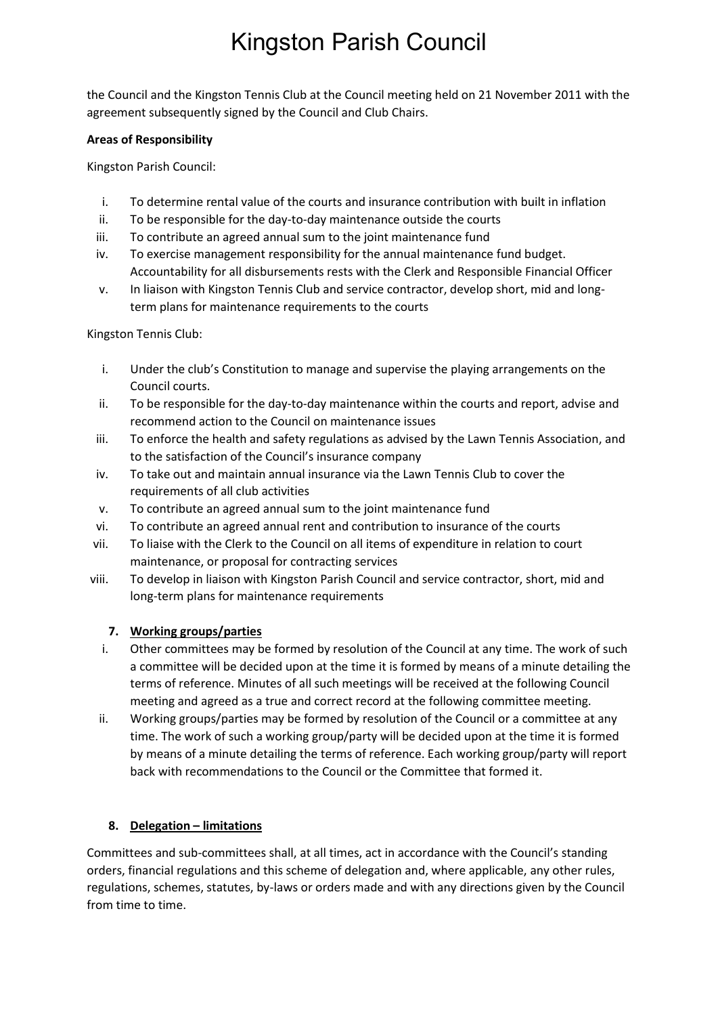the Council and the Kingston Tennis Club at the Council meeting held on 21 November 2011 with the agreement subsequently signed by the Council and Club Chairs.

### **Areas of Responsibility**

Kingston Parish Council:

- i. To determine rental value of the courts and insurance contribution with built in inflation
- ii. To be responsible for the day-to-day maintenance outside the courts
- iii. To contribute an agreed annual sum to the joint maintenance fund
- iv. To exercise management responsibility for the annual maintenance fund budget. Accountability for all disbursements rests with the Clerk and Responsible Financial Officer
- v. In liaison with Kingston Tennis Club and service contractor, develop short, mid and longterm plans for maintenance requirements to the courts

Kingston Tennis Club:

- i. Under the club's Constitution to manage and supervise the playing arrangements on the Council courts.
- ii. To be responsible for the day-to-day maintenance within the courts and report, advise and recommend action to the Council on maintenance issues
- iii. To enforce the health and safety regulations as advised by the Lawn Tennis Association, and to the satisfaction of the Council's insurance company
- iv. To take out and maintain annual insurance via the Lawn Tennis Club to cover the requirements of all club activities
- v. To contribute an agreed annual sum to the joint maintenance fund
- vi. To contribute an agreed annual rent and contribution to insurance of the courts
- vii. To liaise with the Clerk to the Council on all items of expenditure in relation to court maintenance, or proposal for contracting services
- viii. To develop in liaison with Kingston Parish Council and service contractor, short, mid and long-term plans for maintenance requirements

### **7. Working groups/parties**

- i. Other committees may be formed by resolution of the Council at any time. The work of such a committee will be decided upon at the time it is formed by means of a minute detailing the terms of reference. Minutes of all such meetings will be received at the following Council meeting and agreed as a true and correct record at the following committee meeting.
- ii. Working groups/parties may be formed by resolution of the Council or a committee at any time. The work of such a working group/party will be decided upon at the time it is formed by means of a minute detailing the terms of reference. Each working group/party will report back with recommendations to the Council or the Committee that formed it.

### **8. Delegation – limitations**

Committees and sub-committees shall, at all times, act in accordance with the Council's standing orders, financial regulations and this scheme of delegation and, where applicable, any other rules, regulations, schemes, statutes, by-laws or orders made and with any directions given by the Council from time to time.